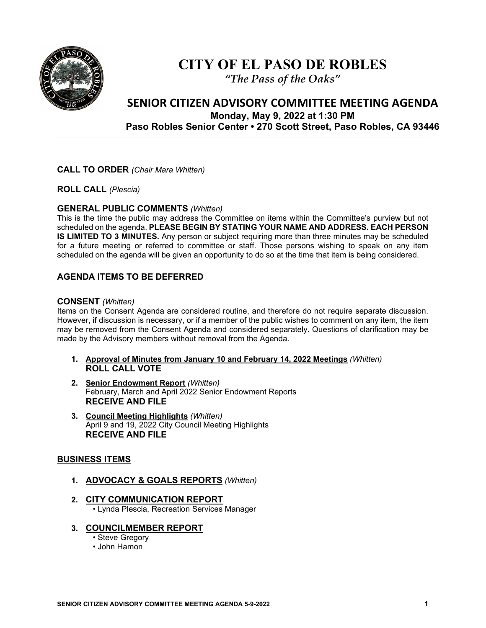

# **CITY OF EL PASO DE ROBLES**

*"The Pass of the Oaks"*

# **SENIOR CITIZEN ADVISORY COMMITTEE MEETING AGENDA Monday, May 9, 2022 at 1:30 PM Paso Robles Senior Center • 270 Scott Street, Paso Robles, CA 93446**

# **CALL TO ORDER** *(Chair Mara Whitten)*

**ROLL CALL** *(Plescia)*

### **GENERAL PUBLIC COMMENTS** *(Whitten)*

This is the time the public may address the Committee on items within the Committee's purview but not scheduled on the agenda. **PLEASE BEGIN BY STATING YOUR NAME AND ADDRESS. EACH PERSON IS LIMITED TO 3 MINUTES.** Any person or subject requiring more than three minutes may be scheduled for a future meeting or referred to committee or staff. Those persons wishing to speak on any item scheduled on the agenda will be given an opportunity to do so at the time that item is being considered.

# **AGENDA ITEMS TO BE DEFERRED**

#### **CONSENT** *(Whitten)*

Items on the Consent Agenda are considered routine, and therefore do not require separate discussion. However, if discussion is necessary, or if a member of the public wishes to comment on any item, the item may be removed from the Consent Agenda and considered separately. Questions of clarification may be made by the Advisory members without removal from the Agenda.

- **1. Approval of Minutes from January 10 and February 14, 2022 Meetings** *(Whitten)*  **ROLL CALL VOTE**
- **2. Senior Endowment Report** *(Whitten)* February, March and April 2022 Senior Endowment Reports **RECEIVE AND FILE**
- **3. Council Meeting Highlights** *(Whitten)* April 9 and 19, 2022 City Council Meeting Highlights **RECEIVE AND FILE**

#### **BUSINESS ITEMS**

- **1. ADVOCACY & GOALS REPORTS** *(Whitten)*
- **2. CITY COMMUNICATION REPORT** • Lynda Plescia, Recreation Services Manager
- **3. COUNCILMEMBER REPORT**
	- Steve Gregory
	- John Hamon